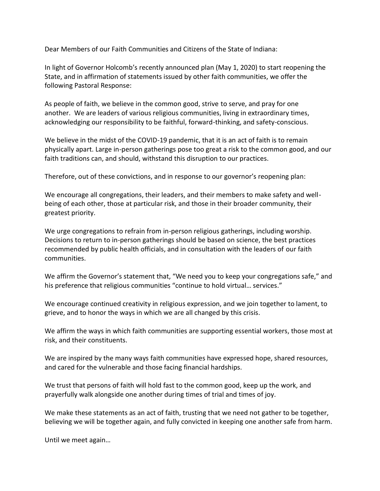Dear Members of our Faith Communities and Citizens of the State of Indiana:

In light of Governor Holcomb's recently announced plan (May 1, 2020) to start reopening the State, and in affirmation of statements issued by other faith communities, we offer the following Pastoral Response:

As people of faith, we believe in the common good, strive to serve, and pray for one another. We are leaders of various religious communities, living in extraordinary times, acknowledging our responsibility to be faithful, forward-thinking, and safety-conscious.

We believe in the midst of the COVID-19 pandemic, that it is an act of faith is to remain physically apart. Large in-person gatherings pose too great a risk to the common good, and our faith traditions can, and should, withstand this disruption to our practices.

Therefore, out of these convictions, and in response to our governor's reopening plan:

We encourage all congregations, their leaders, and their members to make safety and wellbeing of each other, those at particular risk, and those in their broader community, their greatest priority.

We urge congregations to refrain from in-person religious gatherings, including worship. Decisions to return to in-person gatherings should be based on science, the best practices recommended by public health officials, and in consultation with the leaders of our faith communities.

We affirm the Governor's statement that, "We need you to keep your congregations safe," and his preference that religious communities "continue to hold virtual… services."

We encourage continued creativity in religious expression, and we join together to lament, to grieve, and to honor the ways in which we are all changed by this crisis.

We affirm the ways in which faith communities are supporting essential workers, those most at risk, and their constituents.

We are inspired by the many ways faith communities have expressed hope, shared resources, and cared for the vulnerable and those facing financial hardships.

We trust that persons of faith will hold fast to the common good, keep up the work, and prayerfully walk alongside one another during times of trial and times of joy.

We make these statements as an act of faith, trusting that we need not gather to be together, believing we will be together again, and fully convicted in keeping one another safe from harm.

Until we meet again…